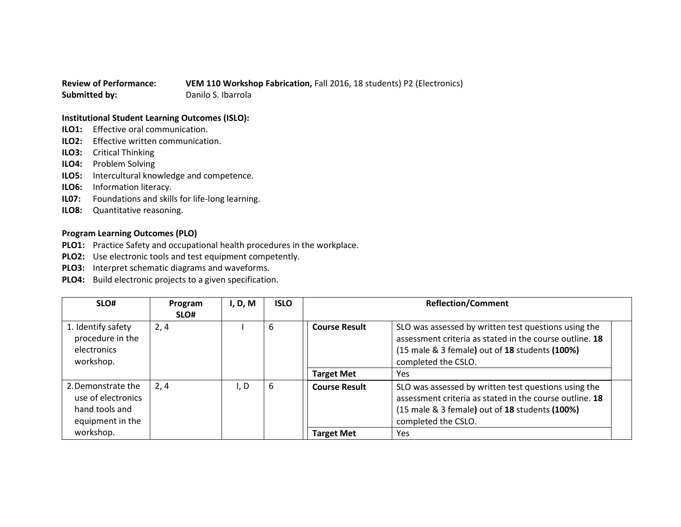## **Review of Performance: VEM 110 Workshop Fabrication,** Fall 2016, 18 students) P2 (Electronics) **Submitted by:** Danilo S. Ibarrola

## **Institutional Student Learning Outcomes (ISLO):**

- **ILO1:** Effective oral communication.
- **ILO2:** Effective written communication.
- **ILO3:** Critical Thinking
- **ILO4:** Problem Solving
- **ILO5:** Intercultural knowledge and competence.
- **ILO6:** Information literacy.
- **IL07:** Foundations and skills for life-long learning.
- **ILO8:** Quantitative reasoning.

## **Program Learning Outcomes (PLO)**

- **PLO1:** Practice Safety and occupational health procedures in the workplace.
- **PLO2:** Use electronic tools and test equipment competently.
- **PLO3:** Interpret schematic diagrams and waveforms.
- **PLO4:** Build electronic projects to a given specification.

| SLO#                                                                           | Program<br>SLO# | I, D, M | <b>ISLO</b> | <b>Reflection/Comment</b> |                                                                                                                                                                                          |
|--------------------------------------------------------------------------------|-----------------|---------|-------------|---------------------------|------------------------------------------------------------------------------------------------------------------------------------------------------------------------------------------|
| 1. Identify safety<br>procedure in the<br>electronics<br>workshop.             | 2, 4            |         | 6           | <b>Course Result</b>      | SLO was assessed by written test questions using the<br>assessment criteria as stated in the course outline. 18<br>(15 male & 3 female) out of 18 students (100%)<br>completed the CSLO. |
|                                                                                |                 |         |             | <b>Target Met</b>         | Yes                                                                                                                                                                                      |
| 2. Demonstrate the<br>use of electronics<br>hand tools and<br>equipment in the | 2, 4            | I, D    | 6           | <b>Course Result</b>      | SLO was assessed by written test questions using the<br>assessment criteria as stated in the course outline. 18<br>(15 male & 3 female) out of 18 students (100%)<br>completed the CSLO. |
| workshop.                                                                      |                 |         |             | <b>Target Met</b>         | Yes                                                                                                                                                                                      |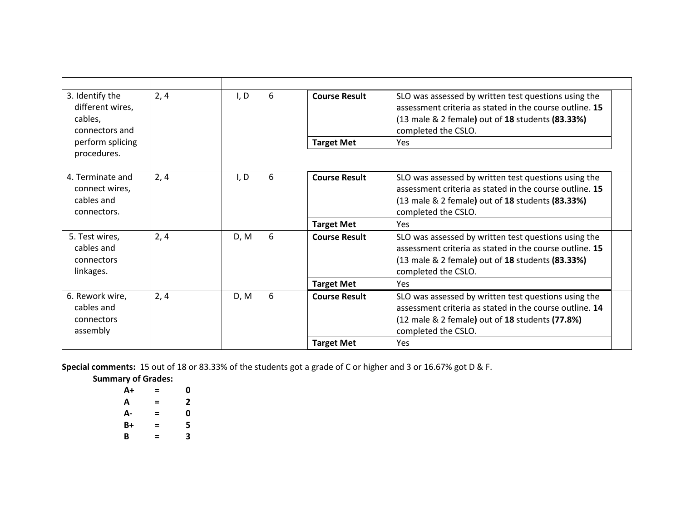| 3. Identify the<br>different wires,<br>cables,<br>connectors and | 2, 4 | I, D | 6 | <b>Course Result</b> | SLO was assessed by written test questions using the<br>assessment criteria as stated in the course outline. 15<br>(13 male & 2 female) out of 18 students (83.33%)<br>completed the CSLO. |
|------------------------------------------------------------------|------|------|---|----------------------|--------------------------------------------------------------------------------------------------------------------------------------------------------------------------------------------|
| perform splicing                                                 |      |      |   | <b>Target Met</b>    | Yes                                                                                                                                                                                        |
| procedures.                                                      |      |      |   |                      |                                                                                                                                                                                            |
| 4. Terminate and<br>connect wires,<br>cables and<br>connectors.  | 2, 4 | I, D | 6 | <b>Course Result</b> | SLO was assessed by written test questions using the<br>assessment criteria as stated in the course outline. 15<br>(13 male & 2 female) out of 18 students (83.33%)<br>completed the CSLO. |
|                                                                  |      |      |   | <b>Target Met</b>    | Yes                                                                                                                                                                                        |
| 5. Test wires,<br>cables and<br>connectors<br>linkages.          | 2, 4 | D, M | 6 | <b>Course Result</b> | SLO was assessed by written test questions using the<br>assessment criteria as stated in the course outline. 15<br>(13 male & 2 female) out of 18 students (83.33%)<br>completed the CSLO. |
|                                                                  |      |      |   | <b>Target Met</b>    | Yes                                                                                                                                                                                        |
| 6. Rework wire,<br>cables and<br>connectors<br>assembly          | 2, 4 | D, M | 6 | <b>Course Result</b> | SLO was assessed by written test questions using the<br>assessment criteria as stated in the course outline. 14<br>(12 male & 2 female) out of 18 students (77.8%)<br>completed the CSLO.  |
|                                                                  |      |      |   | <b>Target Met</b>    | Yes                                                                                                                                                                                        |

**Special comments:** 15 out of 18 or 83.33% of the students got a grade of C or higher and 3 or 16.67% got D & F.

**Summary of Grades:**

| $A+$ | Ξ | 0 |
|------|---|---|
| А    | = | 2 |
| А-   | = | 0 |
| B+   | Ξ | 5 |
| B    | Ξ | 3 |